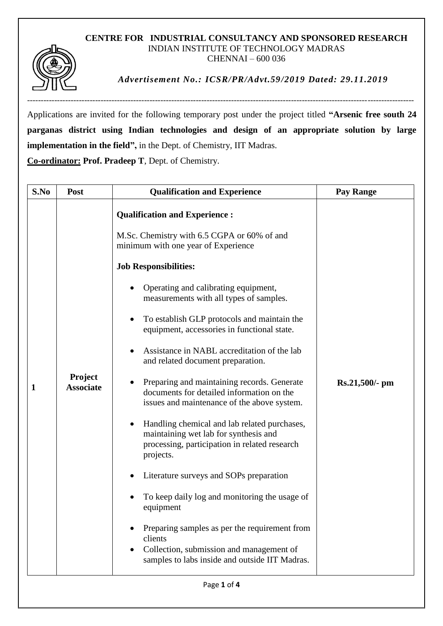## **CENTRE FOR INDUSTRIAL CONSULTANCY AND SPONSORED RESEARCH** INDIAN INSTITUTE OF TECHNOLOGY MADRAS CHENNAI – 600 036



*Advertisement No.: ICSR/PR/Advt.59/2019 Dated: 29.11.2019*

----------------------------------------------------------------------------------------------------------------------------------------------

Applications are invited for the following temporary post under the project titled **"Arsenic free south 24 parganas district using Indian technologies and design of an appropriate solution by large implementation in the field",** in the Dept. of Chemistry, IIT Madras.

**Co-ordinator: Prof. Pradeep T**, Dept. of Chemistry.

| S.No        | <b>Post</b>                 | <b>Qualification and Experience</b>                                                                                                                                                                                                                                                                                                                                                                                                                                                                                                                               | <b>Pay Range</b> |
|-------------|-----------------------------|-------------------------------------------------------------------------------------------------------------------------------------------------------------------------------------------------------------------------------------------------------------------------------------------------------------------------------------------------------------------------------------------------------------------------------------------------------------------------------------------------------------------------------------------------------------------|------------------|
| 1           | Project<br><b>Associate</b> | <b>Qualification and Experience:</b><br>M.Sc. Chemistry with 6.5 CGPA or 60% of and<br>minimum with one year of Experience<br><b>Job Responsibilities:</b><br>Operating and calibrating equipment,<br>measurements with all types of samples.<br>To establish GLP protocols and maintain the<br>equipment, accessories in functional state.<br>Assistance in NABL accreditation of the lab<br>and related document preparation.                                                                                                                                   | $Rs.21,500/- pm$ |
|             |                             | Preparing and maintaining records. Generate<br>documents for detailed information on the<br>issues and maintenance of the above system.<br>Handling chemical and lab related purchases,<br>maintaining wet lab for synthesis and<br>processing, participation in related research<br>projects.<br>Literature surveys and SOPs preparation<br>To keep daily log and monitoring the usage of<br>equipment<br>Preparing samples as per the requirement from<br>clients<br>Collection, submission and management of<br>samples to labs inside and outside IIT Madras. |                  |
| Page 1 of 4 |                             |                                                                                                                                                                                                                                                                                                                                                                                                                                                                                                                                                                   |                  |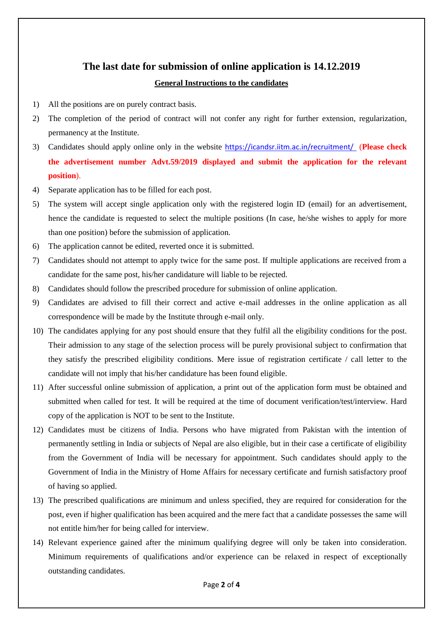## **The last date for submission of online application is 14.12.2019 General Instructions to the candidates**

- 1) All the positions are on purely contract basis.
- 2) The completion of the period of contract will not confer any right for further extension, regularization, permanency at the Institute.
- 3) Candidates should apply online only in the website <https://icandsr.iitm.ac.in/recruitment/> (**Please check the advertisement number Advt.59/2019 displayed and submit the application for the relevant position**).
- 4) Separate application has to be filled for each post.
- 5) The system will accept single application only with the registered login ID (email) for an advertisement, hence the candidate is requested to select the multiple positions (In case, he/she wishes to apply for more than one position) before the submission of application.
- 6) The application cannot be edited, reverted once it is submitted.
- 7) Candidates should not attempt to apply twice for the same post. If multiple applications are received from a candidate for the same post, his/her candidature will liable to be rejected.
- 8) Candidates should follow the prescribed procedure for submission of online application.
- 9) Candidates are advised to fill their correct and active e-mail addresses in the online application as all correspondence will be made by the Institute through e-mail only.
- 10) The candidates applying for any post should ensure that they fulfil all the eligibility conditions for the post. Their admission to any stage of the selection process will be purely provisional subject to confirmation that they satisfy the prescribed eligibility conditions. Mere issue of registration certificate / call letter to the candidate will not imply that his/her candidature has been found eligible.
- 11) After successful online submission of application, a print out of the application form must be obtained and submitted when called for test. It will be required at the time of document verification/test/interview. Hard copy of the application is NOT to be sent to the Institute.
- 12) Candidates must be citizens of India. Persons who have migrated from Pakistan with the intention of permanently settling in India or subjects of Nepal are also eligible, but in their case a certificate of eligibility from the Government of India will be necessary for appointment. Such candidates should apply to the Government of India in the Ministry of Home Affairs for necessary certificate and furnish satisfactory proof of having so applied.
- 13) The prescribed qualifications are minimum and unless specified, they are required for consideration for the post, even if higher qualification has been acquired and the mere fact that a candidate possesses the same will not entitle him/her for being called for interview.
- 14) Relevant experience gained after the minimum qualifying degree will only be taken into consideration. Minimum requirements of qualifications and/or experience can be relaxed in respect of exceptionally outstanding candidates.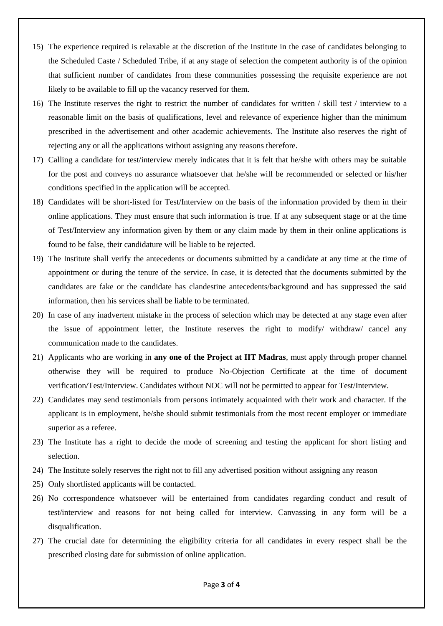- 15) The experience required is relaxable at the discretion of the Institute in the case of candidates belonging to the Scheduled Caste / Scheduled Tribe, if at any stage of selection the competent authority is of the opinion that sufficient number of candidates from these communities possessing the requisite experience are not likely to be available to fill up the vacancy reserved for them.
- 16) The Institute reserves the right to restrict the number of candidates for written / skill test / interview to a reasonable limit on the basis of qualifications, level and relevance of experience higher than the minimum prescribed in the advertisement and other academic achievements. The Institute also reserves the right of rejecting any or all the applications without assigning any reasons therefore.
- 17) Calling a candidate for test/interview merely indicates that it is felt that he/she with others may be suitable for the post and conveys no assurance whatsoever that he/she will be recommended or selected or his/her conditions specified in the application will be accepted.
- 18) Candidates will be short-listed for Test/Interview on the basis of the information provided by them in their online applications. They must ensure that such information is true. If at any subsequent stage or at the time of Test/Interview any information given by them or any claim made by them in their online applications is found to be false, their candidature will be liable to be rejected.
- 19) The Institute shall verify the antecedents or documents submitted by a candidate at any time at the time of appointment or during the tenure of the service. In case, it is detected that the documents submitted by the candidates are fake or the candidate has clandestine antecedents/background and has suppressed the said information, then his services shall be liable to be terminated.
- 20) In case of any inadvertent mistake in the process of selection which may be detected at any stage even after the issue of appointment letter, the Institute reserves the right to modify/ withdraw/ cancel any communication made to the candidates.
- 21) Applicants who are working in **any one of the Project at IIT Madras**, must apply through proper channel otherwise they will be required to produce No-Objection Certificate at the time of document verification/Test/Interview. Candidates without NOC will not be permitted to appear for Test/Interview.
- 22) Candidates may send testimonials from persons intimately acquainted with their work and character. If the applicant is in employment, he/she should submit testimonials from the most recent employer or immediate superior as a referee.
- 23) The Institute has a right to decide the mode of screening and testing the applicant for short listing and selection.
- 24) The Institute solely reserves the right not to fill any advertised position without assigning any reason
- 25) Only shortlisted applicants will be contacted.
- 26) No correspondence whatsoever will be entertained from candidates regarding conduct and result of test/interview and reasons for not being called for interview. Canvassing in any form will be a disqualification.
- 27) The crucial date for determining the eligibility criteria for all candidates in every respect shall be the prescribed closing date for submission of online application.